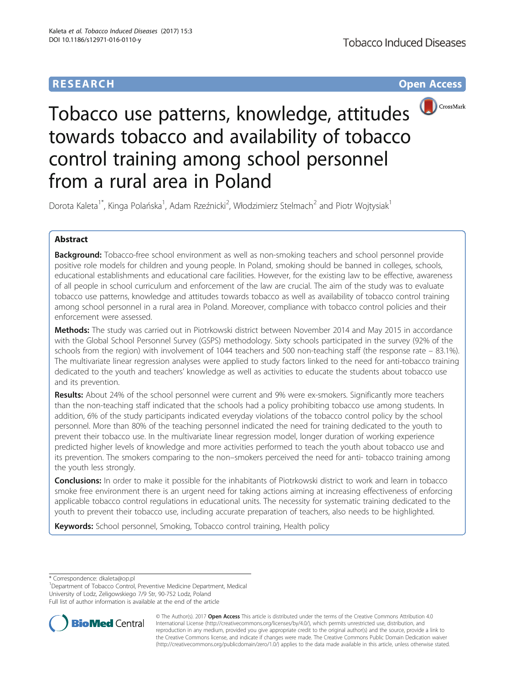## **RESEARCH CHE Open Access**



# Tobacco use patterns, knowledge, attitudes towards tobacco and availability of tobacco control training among school personnel from a rural area in Poland

Dorota Kaleta<sup>1\*</sup>, Kinga Polańska<sup>1</sup>, Adam Rzeźnicki<sup>2</sup>, Włodzimierz Stelmach<sup>2</sup> and Piotr Wojtysiak<sup>1</sup>

## Abstract

Background: Tobacco-free school environment as well as non-smoking teachers and school personnel provide positive role models for children and young people. In Poland, smoking should be banned in colleges, schools, educational establishments and educational care facilities. However, for the existing law to be effective, awareness of all people in school curriculum and enforcement of the law are crucial. The aim of the study was to evaluate tobacco use patterns, knowledge and attitudes towards tobacco as well as availability of tobacco control training among school personnel in a rural area in Poland. Moreover, compliance with tobacco control policies and their enforcement were assessed.

Methods: The study was carried out in Piotrkowski district between November 2014 and May 2015 in accordance with the Global School Personnel Survey (GSPS) methodology. Sixty schools participated in the survey (92% of the schools from the region) with involvement of 1044 teachers and 500 non-teaching staff (the response rate – 83.1%). The multivariate linear regression analyses were applied to study factors linked to the need for anti-tobacco training dedicated to the youth and teachers' knowledge as well as activities to educate the students about tobacco use and its prevention.

Results: About 24% of the school personnel were current and 9% were ex-smokers. Significantly more teachers than the non-teaching staff indicated that the schools had a policy prohibiting tobacco use among students. In addition, 6% of the study participants indicated everyday violations of the tobacco control policy by the school personnel. More than 80% of the teaching personnel indicated the need for training dedicated to the youth to prevent their tobacco use. In the multivariate linear regression model, longer duration of working experience predicted higher levels of knowledge and more activities performed to teach the youth about tobacco use and its prevention. The smokers comparing to the non–smokers perceived the need for anti- tobacco training among the youth less strongly.

**Conclusions:** In order to make it possible for the inhabitants of Piotrkowski district to work and learn in tobacco smoke free environment there is an urgent need for taking actions aiming at increasing effectiveness of enforcing applicable tobacco control regulations in educational units. The necessity for systematic training dedicated to the youth to prevent their tobacco use, including accurate preparation of teachers, also needs to be highlighted.

Keywords: School personnel, Smoking, Tobacco control training, Health policy

\* Correspondence: [dkaleta@op.pl](mailto:dkaleta@op.pl) <sup>1</sup>

<sup>1</sup>Department of Tobacco Control, Preventive Medicine Department, Medical University of Lodz, Zeligowskiego 7/9 Str, 90-752 Lodz, Poland

Full list of author information is available at the end of the article



© The Author(s). 2017 **Open Access** This article is distributed under the terms of the Creative Commons Attribution 4.0 International License [\(http://creativecommons.org/licenses/by/4.0/](http://creativecommons.org/licenses/by/4.0/)), which permits unrestricted use, distribution, and reproduction in any medium, provided you give appropriate credit to the original author(s) and the source, provide a link to the Creative Commons license, and indicate if changes were made. The Creative Commons Public Domain Dedication waiver [\(http://creativecommons.org/publicdomain/zero/1.0/](http://creativecommons.org/publicdomain/zero/1.0/)) applies to the data made available in this article, unless otherwise stated.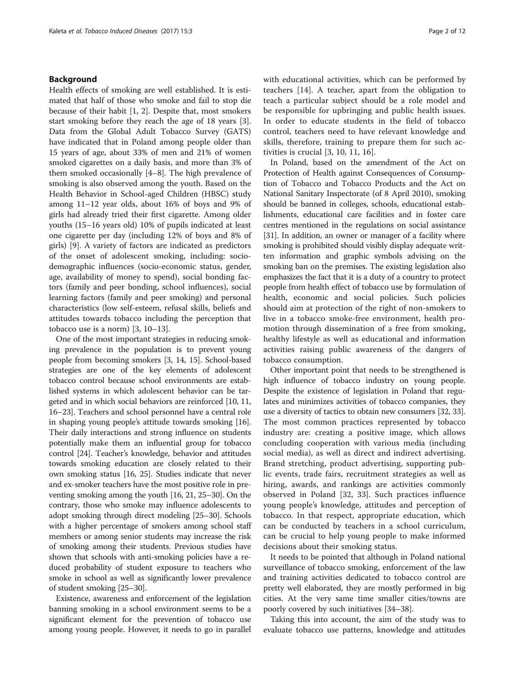## Background

Health effects of smoking are well established. It is estimated that half of those who smoke and fail to stop die because of their habit [\[1, 2](#page-10-0)]. Despite that, most smokers start smoking before they reach the age of 18 years [\[3](#page-10-0)]. Data from the Global Adult Tobacco Survey (GATS) have indicated that in Poland among people older than 15 years of age, about 33% of men and 21% of women smoked cigarettes on a daily basis, and more than 3% of them smoked occasionally [\[4](#page-10-0)–[8\]](#page-10-0). The high prevalence of smoking is also observed among the youth. Based on the Health Behavior in School-aged Children (HBSC) study among 11–12 year olds, about 16% of boys and 9% of girls had already tried their first cigarette. Among older youths (15–16 years old) 10% of pupils indicated at least one cigarette per day (including 12% of boys and 8% of girls) [[9\]](#page-10-0). A variety of factors are indicated as predictors of the onset of adolescent smoking, including: sociodemographic influences (socio-economic status, gender, age, availability of money to spend), social bonding factors (family and peer bonding, school influences), social learning factors (family and peer smoking) and personal characteristics (low self-esteem, refusal skills, beliefs and attitudes towards tobacco including the perception that tobacco use is a norm) [\[3, 10](#page-10-0)–[13\]](#page-10-0).

One of the most important strategies in reducing smoking prevalence in the population is to prevent young people from becoming smokers [[3, 14](#page-10-0), [15\]](#page-10-0). School-based strategies are one of the key elements of adolescent tobacco control because school environments are established systems in which adolescent behavior can be targeted and in which social behaviors are reinforced [\[10, 11](#page-10-0), [16](#page-10-0)–[23\]](#page-10-0). Teachers and school personnel have a central role in shaping young people's attitude towards smoking [[16](#page-10-0)]. Their daily interactions and strong influence on students potentially make them an influential group for tobacco control [\[24\]](#page-10-0). Teacher's knowledge, behavior and attitudes towards smoking education are closely related to their own smoking status [\[16, 25](#page-10-0)]. Studies indicate that never and ex-smoker teachers have the most positive role in preventing smoking among the youth [\[16, 21](#page-10-0), [25](#page-10-0)–[30](#page-11-0)]. On the contrary, those who smoke may influence adolescents to adopt smoking through direct modeling [\[25](#page-10-0)–[30](#page-11-0)]. Schools with a higher percentage of smokers among school staff members or among senior students may increase the risk of smoking among their students. Previous studies have shown that schools with anti-smoking policies have a reduced probability of student exposure to teachers who smoke in school as well as significantly lower prevalence of student smoking [\[25](#page-10-0)–[30\]](#page-11-0).

Existence, awareness and enforcement of the legislation banning smoking in a school environment seems to be a significant element for the prevention of tobacco use among young people. However, it needs to go in parallel with educational activities, which can be performed by teachers [[14\]](#page-10-0). A teacher, apart from the obligation to teach a particular subject should be a role model and be responsible for upbringing and public health issues. In order to educate students in the field of tobacco control, teachers need to have relevant knowledge and skills, therefore, training to prepare them for such activities is crucial [[3, 10, 11](#page-10-0), [16](#page-10-0)].

In Poland, based on the amendment of the Act on Protection of Health against Consequences of Consumption of Tobacco and Tobacco Products and the Act on National Sanitary Inspectorate (of 8 April 2010), smoking should be banned in colleges, schools, educational establishments, educational care facilities and in foster care centres mentioned in the regulations on social assistance [[31](#page-11-0)]. In addition, an owner or manager of a facility where smoking is prohibited should visibly display adequate written information and graphic symbols advising on the smoking ban on the premises. The existing legislation also emphasizes the fact that it is a duty of a country to protect people from health effect of tobacco use by formulation of health, economic and social policies. Such policies should aim at protection of the right of non-smokers to live in a tobacco smoke-free environment, health promotion through dissemination of a free from smoking, healthy lifestyle as well as educational and information activities raising public awareness of the dangers of tobacco consumption.

Other important point that needs to be strengthened is high influence of tobacco industry on young people. Despite the existence of legislation in Poland that regulates and minimizes activities of tobacco companies, they use a diversity of tactics to obtain new consumers [\[32, 33](#page-11-0)]. The most common practices represented by tobacco industry are: creating a positive image, which allows concluding cooperation with various media (including social media), as well as direct and indirect advertising. Brand stretching, product advertising, supporting public events, trade fairs, recruitment strategies as well as hiring, awards, and rankings are activities commonly observed in Poland [\[32](#page-11-0), [33](#page-11-0)]. Such practices influence young people's knowledge, attitudes and perception of tobacco. In that respect, appropriate education, which can be conducted by teachers in a school curriculum, can be crucial to help young people to make informed decisions about their smoking status.

It needs to be pointed that although in Poland national surveillance of tobacco smoking, enforcement of the law and training activities dedicated to tobacco control are pretty well elaborated, they are mostly performed in big cities. At the very same time smaller cities/towns are poorly covered by such initiatives [[34](#page-11-0)–[38](#page-11-0)].

Taking this into account, the aim of the study was to evaluate tobacco use patterns, knowledge and attitudes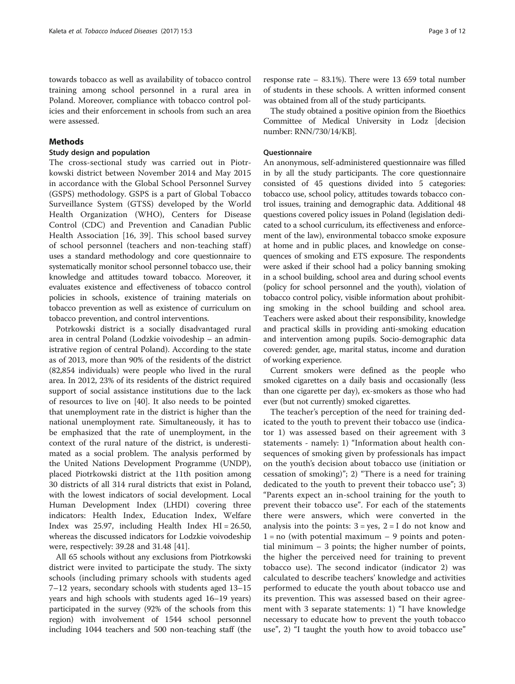towards tobacco as well as availability of tobacco control training among school personnel in a rural area in Poland. Moreover, compliance with tobacco control policies and their enforcement in schools from such an area were assessed.

## Methods

## Study design and population

The cross-sectional study was carried out in Piotrkowski district between November 2014 and May 2015 in accordance with the Global School Personnel Survey (GSPS) methodology. GSPS is a part of Global Tobacco Surveillance System (GTSS) developed by the World Health Organization (WHO), Centers for Disease Control (CDC) and Prevention and Canadian Public Health Association [[16](#page-10-0), [39\]](#page-11-0). This school based survey of school personnel (teachers and non-teaching staff) uses a standard methodology and core questionnaire to systematically monitor school personnel tobacco use, their knowledge and attitudes toward tobacco. Moreover, it evaluates existence and effectiveness of tobacco control policies in schools, existence of training materials on tobacco prevention as well as existence of curriculum on tobacco prevention, and control interventions.

Potrkowski district is a socially disadvantaged rural area in central Poland (Lodzkie voivodeship – an administrative region of central Poland). According to the state as of 2013, more than 90% of the residents of the district (82,854 individuals) were people who lived in the rural area. In 2012, 23% of its residents of the district required support of social assistance institutions due to the lack of resources to live on [\[40](#page-11-0)]. It also needs to be pointed that unemployment rate in the district is higher than the national unemployment rate. Simultaneously, it has to be emphasized that the rate of unemployment, in the context of the rural nature of the district, is underestimated as a social problem. The analysis performed by the United Nations Development Programme (UNDP), placed Piotrkowski district at the 11th position among 30 districts of all 314 rural districts that exist in Poland, with the lowest indicators of social development. Local Human Development Index (LHDI) covering three indicators: Health Index, Education Index, Welfare Index was 25.97, including Health Index HI = 26.50, whereas the discussed indicators for Lodzkie voivodeship were, respectively: 39.28 and 31.48 [\[41](#page-11-0)].

All 65 schools without any exclusions from Piotrkowski district were invited to participate the study. The sixty schools (including primary schools with students aged 7–12 years, secondary schools with students aged 13–15 years and high schools with students aged 16–19 years) participated in the survey (92% of the schools from this region) with involvement of 1544 school personnel including 1044 teachers and 500 non-teaching staff (the response rate – 83.1%). There were 13 659 total number of students in these schools. A written informed consent was obtained from all of the study participants.

The study obtained a positive opinion from the Bioethics Committee of Medical University in Lodz [decision number: RNN/730/14/KB].

## Questionnaire

An anonymous, self-administered questionnaire was filled in by all the study participants. The core questionnaire consisted of 45 questions divided into 5 categories: tobacco use, school policy, attitudes towards tobacco control issues, training and demographic data. Additional 48 questions covered policy issues in Poland (legislation dedicated to a school curriculum, its effectiveness and enforcement of the law), environmental tobacco smoke exposure at home and in public places, and knowledge on consequences of smoking and ETS exposure. The respondents were asked if their school had a policy banning smoking in a school building, school area and during school events (policy for school personnel and the youth), violation of tobacco control policy, visible information about prohibiting smoking in the school building and school area. Teachers were asked about their responsibility, knowledge and practical skills in providing anti-smoking education and intervention among pupils. Socio-demographic data covered: gender, age, marital status, income and duration of working experience.

Current smokers were defined as the people who smoked cigarettes on a daily basis and occasionally (less than one cigarette per day), ex-smokers as those who had ever (but not currently) smoked cigarettes.

The teacher's perception of the need for training dedicated to the youth to prevent their tobacco use (indicator 1) was assessed based on their agreement with 3 statements - namely: 1) "Information about health consequences of smoking given by professionals has impact on the youth's decision about tobacco use (initiation or cessation of smoking)"; 2) "There is a need for training dedicated to the youth to prevent their tobacco use"; 3) "Parents expect an in-school training for the youth to prevent their tobacco use". For each of the statements there were answers, which were converted in the analysis into the points:  $3 = yes$ ,  $2 = I$  do not know and  $1 = no$  (with potential maximum  $- 9$  points and potential minimum – 3 points; the higher number of points, the higher the perceived need for training to prevent tobacco use). The second indicator (indicator 2) was calculated to describe teachers' knowledge and activities performed to educate the youth about tobacco use and its prevention. This was assessed based on their agreement with 3 separate statements: 1) "I have knowledge necessary to educate how to prevent the youth tobacco use", 2) "I taught the youth how to avoid tobacco use"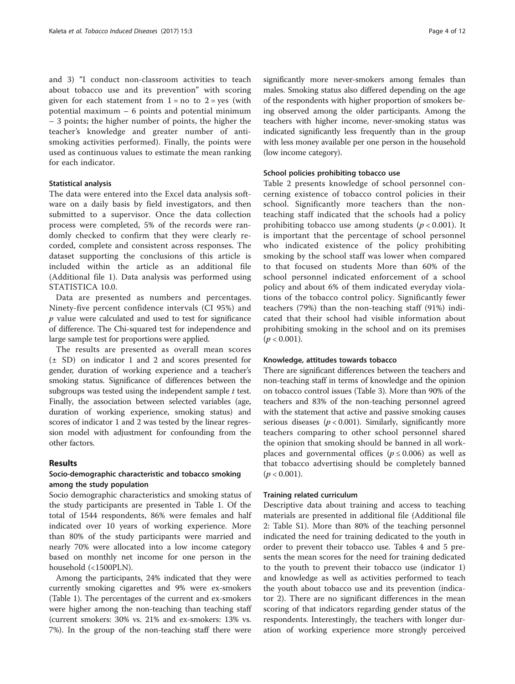and 3) "I conduct non-classroom activities to teach about tobacco use and its prevention" with scoring given for each statement from  $1 = no$  to  $2 = yes$  (with potential maximum – 6 points and potential minimum – 3 points; the higher number of points, the higher the teacher's knowledge and greater number of antismoking activities performed). Finally, the points were used as continuous values to estimate the mean ranking for each indicator.

#### Statistical analysis

The data were entered into the Excel data analysis software on a daily basis by field investigators, and then submitted to a supervisor. Once the data collection process were completed, 5% of the records were randomly checked to confirm that they were clearly recorded, complete and consistent across responses. The dataset supporting the conclusions of this article is included within the article as an additional file (Additional file [1\)](#page-10-0). Data analysis was performed using STATISTICA 10.0.

Data are presented as numbers and percentages. Ninety-five percent confidence intervals (CI 95%) and p value were calculated and used to test for significance of difference. The Chi-squared test for independence and large sample test for proportions were applied.

The results are presented as overall mean scores (± SD) on indicator 1 and 2 and scores presented for gender, duration of working experience and a teacher's smoking status. Significance of differences between the subgroups was tested using the independent sample  $t$  test. Finally, the association between selected variables (age, duration of working experience, smoking status) and scores of indicator 1 and 2 was tested by the linear regression model with adjustment for confounding from the other factors.

#### Results

## Socio-demographic characteristic and tobacco smoking among the study population

Socio demographic characteristics and smoking status of the study participants are presented in Table [1](#page-4-0). Of the total of 1544 respondents, 86% were females and half indicated over 10 years of working experience. More than 80% of the study participants were married and nearly 70% were allocated into a low income category based on monthly net income for one person in the household (<1500PLN).

Among the participants, 24% indicated that they were currently smoking cigarettes and 9% were ex-smokers (Table [1\)](#page-4-0). The percentages of the current and ex-smokers were higher among the non-teaching than teaching staff (current smokers: 30% vs. 21% and ex-smokers: 13% vs. 7%). In the group of the non-teaching staff there were significantly more never-smokers among females than males. Smoking status also differed depending on the age of the respondents with higher proportion of smokers being observed among the older participants. Among the teachers with higher income, never-smoking status was indicated significantly less frequently than in the group with less money available per one person in the household (low income category).

## School policies prohibiting tobacco use

Table [2](#page-5-0) presents knowledge of school personnel concerning existence of tobacco control policies in their school. Significantly more teachers than the nonteaching staff indicated that the schools had a policy prohibiting tobacco use among students ( $p < 0.001$ ). It is important that the percentage of school personnel who indicated existence of the policy prohibiting smoking by the school staff was lower when compared to that focused on students More than 60% of the school personnel indicated enforcement of a school policy and about 6% of them indicated everyday violations of the tobacco control policy. Significantly fewer teachers (79%) than the non-teaching staff (91%) indicated that their school had visible information about prohibiting smoking in the school and on its premises  $(p < 0.001)$ .

#### Knowledge, attitudes towards tobacco

There are significant differences between the teachers and non-teaching staff in terms of knowledge and the opinion on tobacco control issues (Table [3](#page-6-0)). More than 90% of the teachers and 83% of the non-teaching personnel agreed with the statement that active and passive smoking causes serious diseases  $(p < 0.001)$ . Similarly, significantly more teachers comparing to other school personnel shared the opinion that smoking should be banned in all workplaces and governmental offices ( $p \le 0.006$ ) as well as that tobacco advertising should be completely banned  $(p < 0.001)$ .

#### Training related curriculum

Descriptive data about training and access to teaching materials are presented in additional file (Additional file [2:](#page-10-0) Table S1). More than 80% of the teaching personnel indicated the need for training dedicated to the youth in order to prevent their tobacco use. Tables [4](#page-7-0) and [5](#page-7-0) presents the mean scores for the need for training dedicated to the youth to prevent their tobacco use (indicator 1) and knowledge as well as activities performed to teach the youth about tobacco use and its prevention (indicator 2). There are no significant differences in the mean scoring of that indicators regarding gender status of the respondents. Interestingly, the teachers with longer duration of working experience more strongly perceived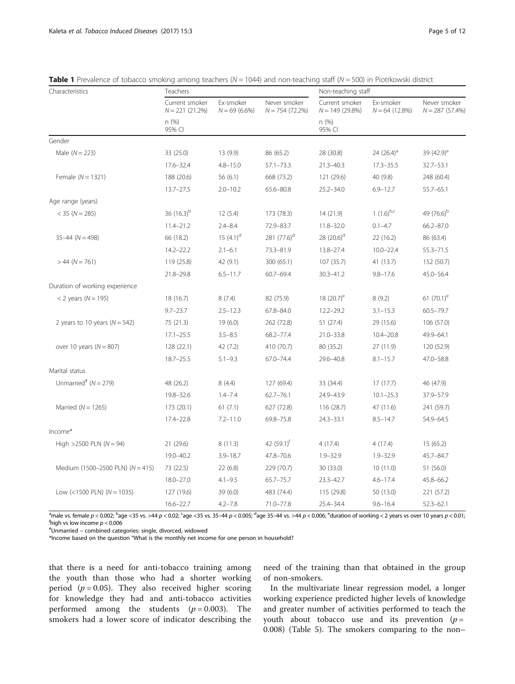<span id="page-4-0"></span>

|  |  |  |  |  | <b>Table 1</b> Prevalence of tobacco smoking among teachers ( $N = 1044$ ) and non-teaching staff ( $N = 500$ ) in Piotrkowski district |
|--|--|--|--|--|-----------------------------------------------------------------------------------------------------------------------------------------|
|--|--|--|--|--|-----------------------------------------------------------------------------------------------------------------------------------------|

| Characteristics                      | Teachers                           |                             |                                  | Non-teaching staff                 |                              |                                   |  |
|--------------------------------------|------------------------------------|-----------------------------|----------------------------------|------------------------------------|------------------------------|-----------------------------------|--|
|                                      | Current smoker<br>$N = 221(21.2%)$ | Ex-smoker<br>$N = 69(6.6%)$ | Never smoker<br>$N = 754(72.2%)$ | Current smoker<br>$N = 149(29.8%)$ | Ex-smoker<br>$N = 64(12.8%)$ | Never smoker<br>$N = 287(57.4\%)$ |  |
|                                      | n(%)<br>95% CI                     |                             |                                  | n(%)<br>95% CI                     |                              |                                   |  |
| Gender                               |                                    |                             |                                  |                                    |                              |                                   |  |
| Male $(N = 223)$                     | 33 (25.0)                          | 13 (9.9)                    | 86 (65.2)                        | 28 (30.8)                          | 24 $(26.4)^a$                | 39 $(42.9)^a$                     |  |
|                                      | $17.6 - 32.4$                      | $4.8 - 15.0$                | $57.1 - 73.3$                    | $21.3 - 40.3$                      | $17.3 - 35.5$                | $32.7 - 53.1$                     |  |
| Female $(N = 1321)$                  | 188 (20.6)                         | 56 $(6.1)$                  | 668 (73.2)                       | 121 (29.6)                         | 40 (9.8)                     | 248 (60.4)                        |  |
|                                      | $13.7 - 27.5$                      | $2.0 - 10.2$                | $65.6 - 80.8$                    | $25.2 - 34.0$                      | $6.9 - 12.7$                 | $55.7 - 65.1$                     |  |
| Age range (years)                    |                                    |                             |                                  |                                    |                              |                                   |  |
| $<$ 35 (N = 285)                     | 36 $(16.3)^{b}$                    | 12(5.4)                     | 173 (78.3)                       | 14(21.9)                           | 1 $(1.6)^{b,c}$              | 49 (76.6) <sup>b</sup>            |  |
|                                      | $11.4 - 21.2$                      | $2.4 - 8.4$                 | 72.9-83.7                        | $11.8 - 32.0$                      | $0.1 - 4.7$                  | $66.2 - 87.0$                     |  |
| $35-44$ (N = 498)                    | 66 (18.2)                          | 15 $(4.1)^d$                | 281 $(77.6)^d$                   | 28 $(20.6)^d$                      | 22 (16.2)                    | 86 (63.4)                         |  |
|                                      | $14.2 - 22.2$                      | $2.1 - 6.1$                 | $73.3 - 81.9$                    | 13.8-27.4                          | $10.0 - 22.4$                | $55.3 - 71.5$                     |  |
| $>$ 44 (N = 761)                     | 119 (25.8)                         | 42 (9.1)                    | 300 (65.1)                       | 107 (35.7)                         | 41 (13.7)                    | 152 (50.7)                        |  |
|                                      | $21.8 - 29.8$                      | $6.5 - 11.7$                | $60.7 - 69.4$                    | $30.3 - 41.2$                      | $9.8 - 17.6$                 | 45.0-56.4                         |  |
| Duration of working experience       |                                    |                             |                                  |                                    |                              |                                   |  |
| < 2 years ( $N = 195$ )              | 18 (16.7)                          | 8(7.4)                      | 82 (75.9)                        | 18 $(20.7)^e$                      | 8(9.2)                       | 61 $(70.1)^e$                     |  |
|                                      | $9.7 - 23.7$                       | $2.5 - 12.3$                | 67.8-84.0                        | $12.2 - 29.2$                      | $3.1 - 15.3$                 | $60.5 - 79.7$                     |  |
| 2 years to 10 years ( $N = 542$ )    | 75 (21.3)                          | 19(6.0)                     | 262 (72.8)                       | 51 (27.4)                          | 29 (15.6)                    | 106 (57.0)                        |  |
|                                      | $17.1 - 25.5$                      | $3.5 - 8.5$                 | 68.2-77.4                        | $21.0 - 33.8$                      | $10.4 - 20.8$                | 49.9-64.1                         |  |
| over 10 years ( $N = 807$ )          | 128 (22.1)                         | 42 (7.2)                    | 410 (70.7)                       | 80 (35.2)                          | 27 (11.9)                    | 120 (52.9)                        |  |
|                                      | $18.7 - 25.5$                      | $5.1 - 9.3$                 | 67.0-74.4                        | 29.6-40.8                          | $8.1 - 15.7$                 | 47.0-58.8                         |  |
| Marital status                       |                                    |                             |                                  |                                    |                              |                                   |  |
| Unmarried <sup>#</sup> ( $N = 279$ ) | 48 (26.2)                          | 8(4.4)                      | 127 (69.4)                       | 33 (34.4)                          | 17(17.7)                     | 46 (47.9)                         |  |
|                                      | 19.8-32.6                          | $1.4 - 7.4$                 | $62.7 - 76.1$                    | 24.9-43.9                          | $10.1 - 25.3$                | 37.9-57.9                         |  |
| Married ( $N = 1265$ )               | 173 (20.1)                         | 61(7.1)                     | 627 (72.8)                       | 116 (28.7)                         | 47 (11.6)                    | 241 (59.7)                        |  |
|                                      | $17.4 - 22.8$                      | $7.2 - 11.0$                | 69.8-75.8                        | $24.3 - 33.1$                      | $8.5 - 14.7$                 | 54.9-64.5                         |  |
| Income*                              |                                    |                             |                                  |                                    |                              |                                   |  |
| High >2500 PLN ( $N = 94$ )          | 21 (29.6)                          | 8(11.3)                     | 42 $(59.1)$ <sup>†</sup>         | 4(17.4)                            | 4(17.4)                      | 15(65.2)                          |  |
|                                      | 19.0-40.2                          | $3.9 - 18.7$                | $47.8 - 70.6$                    | $1.9 - 32.9$                       | $1.9 - 32.9$                 | 45.7-84.7                         |  |
| Medium (1500-2500 PLN) ( $N = 415$ ) | 73 (22.5)                          | 22(6.8)                     | 229 (70.7)                       | 30 (33.0)                          | 10(11.0)                     | 51 (56.0)                         |  |
|                                      | $18.0 - 27.0$                      | $4.1 - 9.5$                 | 65.7-75.7                        | $23.3 - 42.7$                      | $4.6 - 17.4$                 | 45.8-66.2                         |  |
| Low (<1500 PLN) ( $N = 1035$ )       | 127 (19.6)                         | 39(6.0)                     | 483 (74.4)                       | 115 (29.8)                         | 50 (13.0)                    | 221 (57.2)                        |  |
|                                      | $16.6 - 22.7$                      | $4.2 - 7.8$                 | 71.0-77.8                        | $25.4 - 34.4$                      | $9.6 - 16.4$                 | $52.3 - 62.1$                     |  |

<sup>a</sup>male vs. female p < 0.002; <sup>b</sup>age <35 vs. >44 p < 0.02; <sup>c</sup>age <35 vs. 35–44 p < 0.005; <sup>d</sup>age 35–44 vs. >44 p < 0.006; <sup>e</sup>duration of working < 2 years vs over 10 years p < 0.01;<br><sup>1</sup>high yr low incomo n < 0.006 <sup>f</sup>high vs low income  $p < 0.006$ 

Unmarried – combined categories: single, divorced, widowed

\*Income based on the question "What is the monthly net income for one person in household?

that there is a need for anti-tobacco training among the youth than those who had a shorter working period ( $p = 0.05$ ). They also received higher scoring for knowledge they had and anti-tobacco activities performed among the students  $(p = 0.003)$ . The smokers had a lower score of indicator describing the

need of the training than that obtained in the group of non-smokers.

In the multivariate linear regression model, a longer working experience predicted higher levels of knowledge and greater number of activities performed to teach the youth about tobacco use and its prevention  $(p =$ 0.008) (Table [5](#page-7-0)). The smokers comparing to the non–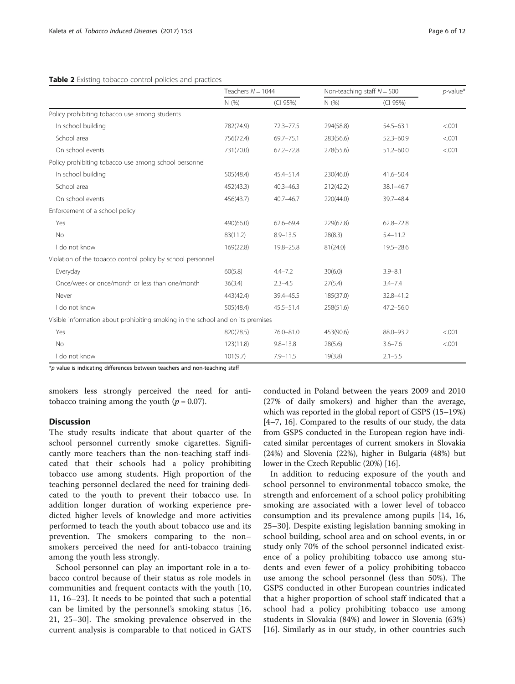#### <span id="page-5-0"></span>Table 2 Existing tobacco control policies and practices

|                                                                                 | Teachers $N = 1044$ |               | Non-teaching staff $N = 500$ |               | $p$ -value* |
|---------------------------------------------------------------------------------|---------------------|---------------|------------------------------|---------------|-------------|
|                                                                                 | N(% )               | (CI 95%)      | N(% )                        | (CI 95%)      |             |
| Policy prohibiting tobacco use among students                                   |                     |               |                              |               |             |
| In school building                                                              | 782(74.9)           | $72.3 - 77.5$ | 294(58.8)                    | $54.5 - 63.1$ | < .001      |
| School area                                                                     | 756(72.4)           | 69.7-75.1     | 283(56.6)                    | $52.3 - 60.9$ | < .001      |
| On school events                                                                | 731(70.0)           | $67.2 - 72.8$ | 278(55.6)                    | $51.2 - 60.0$ | < .001      |
| Policy prohibiting tobacco use among school personnel                           |                     |               |                              |               |             |
| In school building                                                              | 505(48.4)           | $45.4 - 51.4$ | 230(46.0)                    | $41.6 - 50.4$ |             |
| School area                                                                     | 452(43.3)           | $40.3 - 46.3$ | 212(42.2)                    | $38.1 - 46.7$ |             |
| On school events                                                                | 456(43.7)           | $40.7 - 46.7$ | 220(44.0)                    | 39.7-48.4     |             |
| Enforcement of a school policy                                                  |                     |               |                              |               |             |
| Yes                                                                             | 490(66.0)           | $62.6 - 69.4$ | 229(67.8)                    | $62.8 - 72.8$ |             |
| No                                                                              | 83(11.2)            | $8.9 - 13.5$  | 28(8.3)                      | $5.4 - 11.2$  |             |
| I do not know                                                                   | 169(22.8)           | 19.8-25.8     | 81(24.0)                     | $19.5 - 28.6$ |             |
| Violation of the tobacco control policy by school personnel                     |                     |               |                              |               |             |
| Everyday                                                                        | 60(5.8)             | $4.4 - 7.2$   | 30(6.0)                      | $3.9 - 8.1$   |             |
| Once/week or once/month or less than one/month                                  | 36(3.4)             | $2.3 - 4.5$   | 27(5.4)                      | $3.4 - 7.4$   |             |
| Never                                                                           | 443(42.4)           | $39.4 - 45.5$ | 185(37.0)                    | 32.8-41.2     |             |
| I do not know                                                                   | 505(48.4)           | $45.5 - 51.4$ | 258(51.6)                    | $47.2 - 56.0$ |             |
| Visible information about prohibiting smoking in the school and on its premises |                     |               |                              |               |             |
| Yes                                                                             | 820(78.5)           | 76.0-81.0     | 453(90.6)                    | 88.0-93.2     | < .001      |
| No                                                                              | 123(11.8)           | $9.8 - 13.8$  | 28(5.6)                      | $3.6 - 7.6$   | < .001      |
| I do not know                                                                   | 101(9.7)            | $7.9 - 11.5$  | 19(3.8)                      | $2.1 - 5.5$   |             |

\*p value is indicating differences between teachers and non-teaching staff

smokers less strongly perceived the need for antitobacco training among the youth ( $p = 0.07$ ).

## **Discussion**

The study results indicate that about quarter of the school personnel currently smoke cigarettes. Significantly more teachers than the non-teaching staff indicated that their schools had a policy prohibiting tobacco use among students. High proportion of the teaching personnel declared the need for training dedicated to the youth to prevent their tobacco use. In addition longer duration of working experience predicted higher levels of knowledge and more activities performed to teach the youth about tobacco use and its prevention. The smokers comparing to the non– smokers perceived the need for anti-tobacco training among the youth less strongly.

School personnel can play an important role in a tobacco control because of their status as role models in communities and frequent contacts with the youth [\[10](#page-10-0), [11, 16](#page-10-0)–[23](#page-10-0)]. It needs to be pointed that such a potential can be limited by the personnel's smoking status [\[16](#page-10-0), [21, 25](#page-10-0)–[30](#page-11-0)]. The smoking prevalence observed in the current analysis is comparable to that noticed in GATS

conducted in Poland between the years 2009 and 2010 (27% of daily smokers) and higher than the average, which was reported in the global report of GSPS (15–19%) [[4](#page-10-0)–[7](#page-10-0), [16](#page-10-0)]. Compared to the results of our study, the data from GSPS conducted in the European region have indicated similar percentages of current smokers in Slovakia (24%) and Slovenia (22%), higher in Bulgaria (48%) but lower in the Czech Republic (20%) [\[16\]](#page-10-0).

In addition to reducing exposure of the youth and school personnel to environmental tobacco smoke, the strength and enforcement of a school policy prohibiting smoking are associated with a lower level of tobacco consumption and its prevalence among pupils [[14](#page-10-0), [16](#page-10-0), [25](#page-10-0)–[30\]](#page-11-0). Despite existing legislation banning smoking in school building, school area and on school events, in or study only 70% of the school personnel indicated existence of a policy prohibiting tobacco use among students and even fewer of a policy prohibiting tobacco use among the school personnel (less than 50%). The GSPS conducted in other European countries indicated that a higher proportion of school staff indicated that a school had a policy prohibiting tobacco use among students in Slovakia (84%) and lower in Slovenia (63%) [[16\]](#page-10-0). Similarly as in our study, in other countries such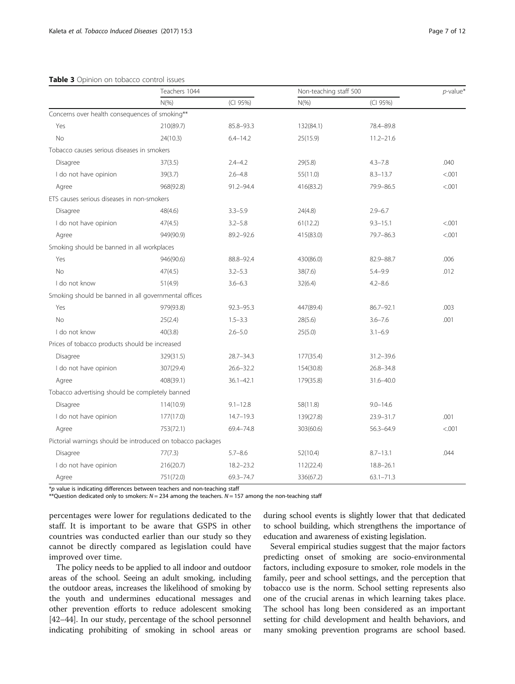#### <span id="page-6-0"></span>Table 3 Opinion on tobacco control issues

|                                                             | Teachers 1044 |               | Non-teaching staff 500 | $p$ -value*   |        |
|-------------------------------------------------------------|---------------|---------------|------------------------|---------------|--------|
|                                                             | $N(\%)$       | (CI 95%)      | $N(\%)$                | (CI 95%)      |        |
| Concerns over health consequences of smoking**              |               |               |                        |               |        |
| Yes                                                         | 210(89.7)     | 85.8-93.3     | 132(84.1)              | 78.4-89.8     |        |
| <b>No</b>                                                   | 24(10.3)      | $6.4 - 14.2$  | 25(15.9)               | $11.2 - 21.6$ |        |
| Tobacco causes serious diseases in smokers                  |               |               |                        |               |        |
| Disagree                                                    | 37(3.5)       | $2.4 - 4.2$   | 29(5.8)                | $4.3 - 7.8$   | .040   |
| I do not have opinion                                       | 39(3.7)       | $2.6 - 4.8$   | 55(11.0)               | $8.3 - 13.7$  | < .001 |
| Agree                                                       | 968(92.8)     | 91.2-94.4     | 416(83.2)              | 79.9-86.5     | < .001 |
| ETS causes serious diseases in non-smokers                  |               |               |                        |               |        |
| Disagree                                                    | 48(4.6)       | $3.3 - 5.9$   | 24(4.8)                | $2.9 - 6.7$   |        |
| I do not have opinion                                       | 47(4.5)       | $3.2 - 5.8$   | 61(12.2)               | $9.3 - 15.1$  | < .001 |
| Agree                                                       | 949(90.9)     | 89.2-92.6     | 415(83.0)              | 79.7-86.3     | < .001 |
| Smoking should be banned in all workplaces                  |               |               |                        |               |        |
| Yes                                                         | 946(90.6)     | 88.8-92.4     | 430(86.0)              | 82.9-88.7     | .006   |
| No                                                          | 47(4.5)       | $3.2 - 5.3$   | 38(7.6)                | $5.4 - 9.9$   | .012   |
| I do not know                                               | 51(4.9)       | $3.6 - 6.3$   | 32(6.4)                | $4.2 - 8.6$   |        |
| Smoking should be banned in all governmental offices        |               |               |                        |               |        |
| Yes                                                         | 979(93.8)     | $92.3 - 95.3$ | 447(89.4)              | 86.7-92.1     | .003   |
| <b>No</b>                                                   | 25(2.4)       | $1.5 - 3.3$   | 28(5.6)                | $3.6 - 7.6$   | .001   |
| I do not know                                               | 40(3.8)       | $2.6 - 5.0$   | 25(5.0)                | $3.1 - 6.9$   |        |
| Prices of tobacco products should be increased              |               |               |                        |               |        |
| Disagree                                                    | 329(31.5)     | $28.7 - 34.3$ | 177(35.4)              | $31.2 - 39.6$ |        |
| I do not have opinion                                       | 307(29.4)     | $26.6 - 32.2$ | 154(30.8)              | $26.8 - 34.8$ |        |
| Agree                                                       | 408(39.1)     | $36.1 - 42.1$ | 179(35.8)              | $31.6 - 40.0$ |        |
| Tobacco advertising should be completely banned             |               |               |                        |               |        |
| Disagree                                                    | 114(10.9)     | $9.1 - 12.8$  | 58(11.8)               | $9.0 - 14.6$  |        |
| I do not have opinion                                       | 177(17.0)     | $14.7 - 19.3$ | 139(27.8)              | 23.9-31.7     | .001   |
| Agree                                                       | 753(72.1)     | 69.4-74.8     | 303(60.6)              | 56.3-64.9     | < .001 |
| Pictorial warnings should be introduced on tobacco packages |               |               |                        |               |        |
| Disagree                                                    | 77(7.3)       | $5.7 - 8.6$   | 52(10.4)               | $8.7 - 13.1$  | .044   |
| I do not have opinion                                       | 216(20.7)     | $18.2 - 23.2$ | 112(22.4)              | $18.8 - 26.1$ |        |
| Agree                                                       | 751(72.0)     | 69.3-74.7     | 336(67.2)              | $63.1 - 71.3$ |        |

\*p value is indicating differences between teachers and non-teaching staff

\*\* Question dedicated only to smokers:  $N = 234$  among the teachers.  $N = 157$  among the non-teaching staff

percentages were lower for regulations dedicated to the staff. It is important to be aware that GSPS in other countries was conducted earlier than our study so they cannot be directly compared as legislation could have improved over time.

The policy needs to be applied to all indoor and outdoor areas of the school. Seeing an adult smoking, including the outdoor areas, increases the likelihood of smoking by the youth and undermines educational messages and other prevention efforts to reduce adolescent smoking [[42](#page-11-0)–[44\]](#page-11-0). In our study, percentage of the school personnel indicating prohibiting of smoking in school areas or during school events is slightly lower that that dedicated to school building, which strengthens the importance of education and awareness of existing legislation.

Several empirical studies suggest that the major factors predicting onset of smoking are socio-environmental factors, including exposure to smoker, role models in the family, peer and school settings, and the perception that tobacco use is the norm. School setting represents also one of the crucial arenas in which learning takes place. The school has long been considered as an important setting for child development and health behaviors, and many smoking prevention programs are school based.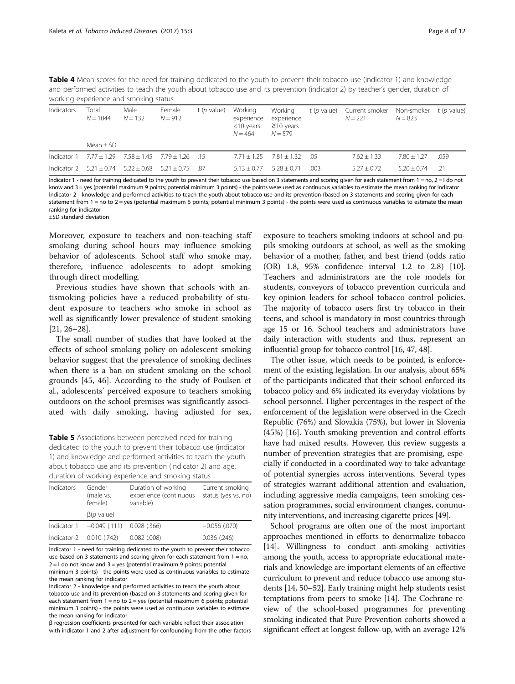<span id="page-7-0"></span>Table 4 Mean scores for the need for training dedicated to the youth to prevent their tobacco use (indicator 1) and knowledge and performed activities to teach the youth about tobacco use and its prevention (indicator 2) by teacher's gender, duration of working experience and smoking status

| Indicators  | Total<br>$N = 1044$                                             | Male<br>$N = 132$ | Female<br>$N = 912$ | t ( $p$ value) | Working<br>experience<br>$<$ 10 years<br>$N = 464$ | Working<br>experience<br>$\geq$ 10 years<br>$N = 579$ | t ( <i>p</i> value) | Current smoker<br>$N = 221$ | Non-smoker<br>$N = 823$ | t (p value) |
|-------------|-----------------------------------------------------------------|-------------------|---------------------|----------------|----------------------------------------------------|-------------------------------------------------------|---------------------|-----------------------------|-------------------------|-------------|
|             | $Mean + SD$                                                     |                   |                     |                |                                                    |                                                       |                     |                             |                         |             |
|             | Indicator 1 $7.77 \pm 1.29$ $7.58 \pm 1.45$ $7.79 \pm 1.26$ .15 |                   |                     |                | $7.71 + 1.25$                                      | $7.81 + 1.32$                                         | - 05                | $7.62 + 1.33$               | $7.80 + 1.27$           | .059        |
| Indicator 2 | $5.21 \pm 0.74$ $5.22 \pm 0.68$                                 |                   | $5.21 + 0.75$ .87   |                | $5.13 + 0.77$                                      | $5.28 + 0.71$                                         | .003                | $5.27 + 0.72$               | $5.20 + 0.74$           | - 21        |

Indicator 1 - need for training dedicated to the youth to prevent their tobacco use based on 3 statements and scoring given for each statement from 1 = no, 2 = I do not know and 3 = yes (potential maximum 9 points; potential minimum 3 points) - the points were used as continuous variables to estimate the mean ranking for indicator Indicator 2 - knowledge and performed activities to teach the youth about tobacco use and its prevention (based on 3 statements and scoring given for each statement from 1 = no to 2 = yes (potential maximum 6 points; potential minimum 3 points) - the points were used as continuous variables to estimate the mean ranking for indicator

±SD standard deviation

Moreover, exposure to teachers and non-teaching staff smoking during school hours may influence smoking behavior of adolescents. School staff who smoke may, therefore, influence adolescents to adopt smoking through direct modelling.

Previous studies have shown that schools with antismoking policies have a reduced probability of student exposure to teachers who smoke in school as well as significantly lower prevalence of student smoking [[21](#page-10-0), [26](#page-10-0)–[28](#page-11-0)].

The small number of studies that have looked at the effects of school smoking policy on adolescent smoking behavior suggest that the prevalence of smoking declines when there is a ban on student smoking on the school grounds [\[45](#page-11-0), [46](#page-11-0)]. According to the study of Poulsen et al., adolescents' perceived exposure to teachers smoking outdoors on the school premises was significantly associated with daily smoking, having adjusted for sex,

Table 5 Associations between perceived need for training dedicated to the youth to prevent their tobacco use (indicator 1) and knowledge and performed activities to teach the youth about tobacco use and its prevention (indicator 2) and age, duration of working experience and smoking status

| Indicators  | Gender<br>(male vs.<br>female) | Duration of working<br>experience (continuous<br>variable) | Current smoking<br>status (yes vs. no) |  |
|-------------|--------------------------------|------------------------------------------------------------|----------------------------------------|--|
|             | $\beta(p \text{ value})$       |                                                            |                                        |  |
| Indicator 1 | $-0.049(0.111)$ 0.028 (0.366)  |                                                            | $-0.056$ (.070)                        |  |
|             | Indicator 2 0.010 (.742)       | $0.082$ $(.008)$                                           | $0.036$ $(.246)$                       |  |

Indicator 1 - need for training dedicated to the youth to prevent their tobacco use based on 3 statements and scoring given for each statement from  $1 = no$ ,  $2 = 1$  do not know and  $3 = yes$  (potential maximum 9 points; potential minimum 3 points) - the points were used as continuous variables to estimate the mean ranking for indicator

Indicator 2 - knowledge and performed activities to teach the youth about tobacco use and its prevention (based on 3 statements and scoring given for each statement from  $1 = no$  to  $2 = yes$  (potential maximum 6 points; potential minimum 3 points) - the points were used as continuous variables to estimate the mean ranking for indicator

β regression coefficients presented for each variable reflect their association with indicator 1 and 2 after adjustment for confounding from the other factors

exposure to teachers smoking indoors at school and pupils smoking outdoors at school, as well as the smoking behavior of a mother, father, and best friend (odds ratio (OR) 1.8, 95% confidence interval 1.2 to 2.8) [\[10](#page-10-0)]. Teachers and administrators are the role models for students, conveyors of tobacco prevention curricula and key opinion leaders for school tobacco control policies. The majority of tobacco users first try tobacco in their teens, and school is mandatory in most countries through age 15 or 16. School teachers and administrators have daily interaction with students and thus, represent an influential group for tobacco control [\[16,](#page-10-0) [47](#page-11-0), [48](#page-11-0)].

The other issue, which needs to be pointed, is enforcement of the existing legislation. In our analysis, about 65% of the participants indicated that their school enforced its tobacco policy and 6% indicated its everyday violations by school personnel. Higher percentages in the respect of the enforcement of the legislation were observed in the Czech Republic (76%) and Slovakia (75%), but lower in Slovenia (45%) [[16](#page-10-0)]. Youth smoking prevention and control efforts have had mixed results. However, this review suggests a number of prevention strategies that are promising, especially if conducted in a coordinated way to take advantage of potential synergies across interventions. Several types of strategies warrant additional attention and evaluation, including aggressive media campaigns, teen smoking cessation programmes, social environment changes, community interventions, and increasing cigarette prices [[49](#page-11-0)].

School programs are often one of the most important approaches mentioned in efforts to denormalize tobacco [[14](#page-10-0)]. Willingness to conduct anti-smoking activities among the youth, access to appropriate educational materials and knowledge are important elements of an effective curriculum to prevent and reduce tobacco use among students [\[14,](#page-10-0) [50](#page-11-0)–[52](#page-11-0)]. Early training might help students resist temptations from peers to smoke [\[14\]](#page-10-0). The Cochrane review of the school-based programmes for preventing smoking indicated that Pure Prevention cohorts showed a significant effect at longest follow-up, with an average 12%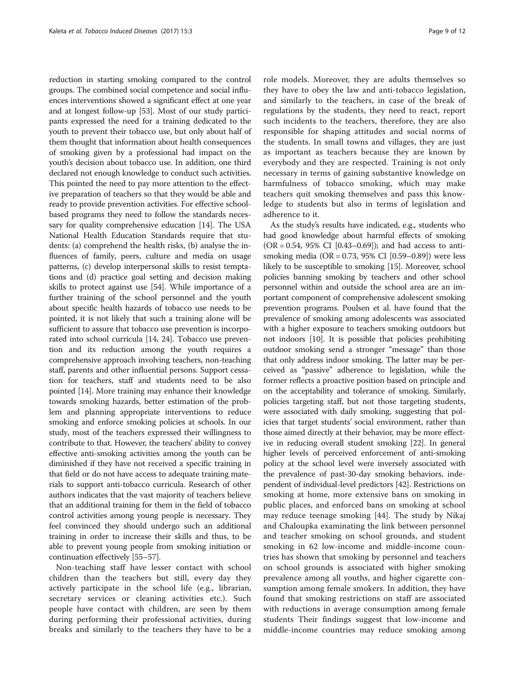reduction in starting smoking compared to the control groups. The combined social competence and social influences interventions showed a significant effect at one year and at longest follow-up [\[53\]](#page-11-0). Most of our study participants expressed the need for a training dedicated to the youth to prevent their tobacco use, but only about half of them thought that information about health consequences of smoking given by a professional had impact on the youth's decision about tobacco use. In addition, one third declared not enough knowledge to conduct such activities. This pointed the need to pay more attention to the effective preparation of teachers so that they would be able and ready to provide prevention activities. For effective schoolbased programs they need to follow the standards necessary for quality comprehensive education [\[14\]](#page-10-0). The USA National Health Education Standards require that students: (a) comprehend the health risks, (b) analyse the influences of family, peers, culture and media on usage patterns, (c) develop interpersonal skills to resist temptations and (d) practice goal setting and decision making skills to protect against use [\[54](#page-11-0)]. While importance of a further training of the school personnel and the youth about specific health hazards of tobacco use needs to be pointed, it is not likely that such a training alone will be sufficient to assure that tobacco use prevention is incorporated into school curricula [\[14](#page-10-0), [24](#page-10-0)]. Tobacco use prevention and its reduction among the youth requires a comprehensive approach involving teachers, non-teaching staff, parents and other influential persons. Support cessation for teachers, staff and students need to be also pointed [\[14\]](#page-10-0). More training may enhance their knowledge towards smoking hazards, better estimation of the problem and planning appropriate interventions to reduce smoking and enforce smoking policies at schools. In our study, most of the teachers expressed their willingness to contribute to that. However, the teachers' ability to convey effective anti-smoking activities among the youth can be diminished if they have not received a specific training in that field or do not have access to adequate training materials to support anti-tobacco curricula. Research of other authors indicates that the vast majority of teachers believe that an additional training for them in the field of tobacco control activities among young people is necessary. They feel convinced they should undergo such an additional training in order to increase their skills and thus, to be able to prevent young people from smoking initiation or continuation effectively [[55](#page-11-0)–[57\]](#page-11-0).

Non-teaching staff have lesser contact with school children than the teachers but still, every day they actively participate in the school life (e.g., librarian, secretary services or cleaning activities etc.). Such people have contact with children, are seen by them during performing their professional activities, during breaks and similarly to the teachers they have to be a role models. Moreover, they are adults themselves so they have to obey the law and anti-tobacco legislation, and similarly to the teachers, in case of the break of regulations by the students, they need to react, report such incidents to the teachers, therefore, they are also responsible for shaping attitudes and social norms of the students. In small towns and villages, they are just as important as teachers because they are known by everybody and they are respected. Training is not only necessary in terms of gaining substantive knowledge on harmfulness of tobacco smoking, which may make teachers quit smoking themselves and pass this knowledge to students but also in terms of legislation and adherence to it.

As the study's results have indicated, e.g., students who had good knowledge about harmful effects of smoking  $(OR = 0.54, 95\% \text{ CI } [0.43-0.69])$ ; and had access to antismoking media (OR = 0.73, 95% CI [0.59–0.89]) were less likely to be susceptible to smoking [\[15\]](#page-10-0). Moreover, school policies banning smoking by teachers and other school personnel within and outside the school area are an important component of comprehensive adolescent smoking prevention programs. Poulsen et al. have found that the prevalence of smoking among adolescents was associated with a higher exposure to teachers smoking outdoors but not indoors [\[10\]](#page-10-0). It is possible that policies prohibiting outdoor smoking send a stronger "message" than those that only address indoor smoking. The latter may be perceived as "passive" adherence to legislation, while the former reflects a proactive position based on principle and on the acceptability and tolerance of smoking. Similarly, policies targeting staff, but not those targeting students, were associated with daily smoking, suggesting that policies that target students' social environment, rather than those aimed directly at their behavior, may be more effective in reducing overall student smoking [[22](#page-10-0)]. In general higher levels of perceived enforcement of anti-smoking policy at the school level were inversely associated with the prevalence of past-30-day smoking behaviors, independent of individual-level predictors [[42](#page-11-0)]. Restrictions on smoking at home, more extensive bans on smoking in public places, and enforced bans on smoking at school may reduce teenage smoking [\[44](#page-11-0)]. The study by Nikaj and Chaloupka examinating the link between personnel and teacher smoking on school grounds, and student smoking in 62 low-income and middle-income countries has shown that smoking by personnel and teachers on school grounds is associated with higher smoking prevalence among all youths, and higher cigarette consumption among female smokers. In addition, they have found that smoking restrictions on staff are associated with reductions in average consumption among female students Their findings suggest that low-income and middle-income countries may reduce smoking among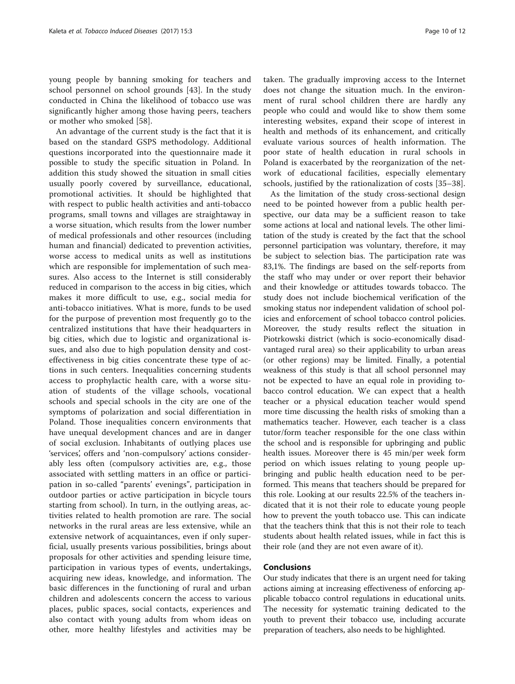young people by banning smoking for teachers and school personnel on school grounds [[43\]](#page-11-0). In the study conducted in China the likelihood of tobacco use was significantly higher among those having peers, teachers or mother who smoked [[58\]](#page-11-0).

An advantage of the current study is the fact that it is based on the standard GSPS methodology. Additional questions incorporated into the questionnaire made it possible to study the specific situation in Poland. In addition this study showed the situation in small cities usually poorly covered by surveillance, educational, promotional activities. It should be highlighted that with respect to public health activities and anti-tobacco programs, small towns and villages are straightaway in a worse situation, which results from the lower number of medical professionals and other resources (including human and financial) dedicated to prevention activities, worse access to medical units as well as institutions which are responsible for implementation of such measures. Also access to the Internet is still considerably reduced in comparison to the access in big cities, which makes it more difficult to use, e.g., social media for anti-tobacco initiatives. What is more, funds to be used for the purpose of prevention most frequently go to the centralized institutions that have their headquarters in big cities, which due to logistic and organizational issues, and also due to high population density and costeffectiveness in big cities concentrate these type of actions in such centers. Inequalities concerning students access to prophylactic health care, with a worse situation of students of the village schools, vocational schools and special schools in the city are one of the symptoms of polarization and social differentiation in Poland. Those inequalities concern environments that have unequal development chances and are in danger of social exclusion. Inhabitants of outlying places use 'services', offers and 'non-compulsory' actions considerably less often (compulsory activities are, e.g., those associated with settling matters in an office or participation in so-called "parents' evenings", participation in outdoor parties or active participation in bicycle tours starting from school). In turn, in the outlying areas, activities related to health promotion are rare. The social networks in the rural areas are less extensive, while an extensive network of acquaintances, even if only superficial, usually presents various possibilities, brings about proposals for other activities and spending leisure time, participation in various types of events, undertakings, acquiring new ideas, knowledge, and information. The basic differences in the functioning of rural and urban children and adolescents concern the access to various places, public spaces, social contacts, experiences and also contact with young adults from whom ideas on other, more healthy lifestyles and activities may be

taken. The gradually improving access to the Internet does not change the situation much. In the environment of rural school children there are hardly any people who could and would like to show them some interesting websites, expand their scope of interest in health and methods of its enhancement, and critically evaluate various sources of health information. The poor state of health education in rural schools in Poland is exacerbated by the reorganization of the network of educational facilities, especially elementary schools, justified by the rationalization of costs [[35](#page-11-0)–[38\]](#page-11-0).

As the limitation of the study cross-sectional design need to be pointed however from a public health perspective, our data may be a sufficient reason to take some actions at local and national levels. The other limitation of the study is created by the fact that the school personnel participation was voluntary, therefore, it may be subject to selection bias. The participation rate was 83,1%. The findings are based on the self-reports from the staff who may under or over report their behavior and their knowledge or attitudes towards tobacco. The study does not include biochemical verification of the smoking status nor independent validation of school policies and enforcement of school tobacco control policies. Moreover, the study results reflect the situation in Piotrkowski district (which is socio-economically disadvantaged rural area) so their applicability to urban areas (or other regions) may be limited. Finally, a potential weakness of this study is that all school personnel may not be expected to have an equal role in providing tobacco control education. We can expect that a health teacher or a physical education teacher would spend more time discussing the health risks of smoking than a mathematics teacher. However, each teacher is a class tutor/form teacher responsible for the one class within the school and is responsible for upbringing and public health issues. Moreover there is 45 min/per week form period on which issues relating to young people upbringing and public health education need to be performed. This means that teachers should be prepared for this role. Looking at our results 22.5% of the teachers indicated that it is not their role to educate young people how to prevent the youth tobacco use. This can indicate that the teachers think that this is not their role to teach students about health related issues, while in fact this is their role (and they are not even aware of it).

## Conclusions

Our study indicates that there is an urgent need for taking actions aiming at increasing effectiveness of enforcing applicable tobacco control regulations in educational units. The necessity for systematic training dedicated to the youth to prevent their tobacco use, including accurate preparation of teachers, also needs to be highlighted.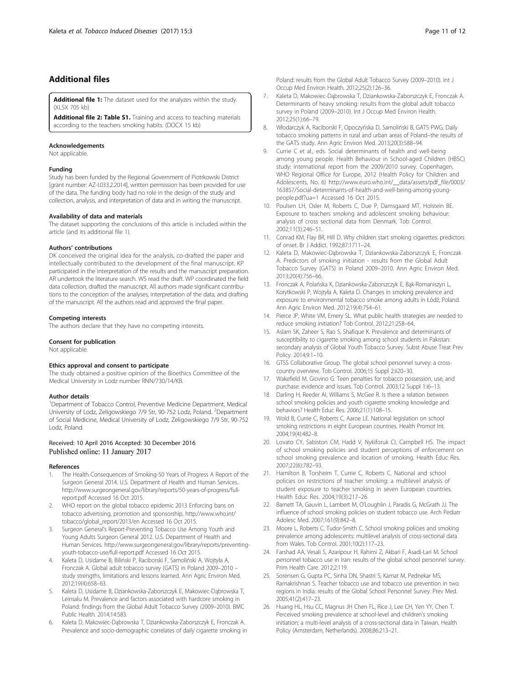## <span id="page-10-0"></span>Additional files

[Additional file 1:](dx.doi.org/10.1186/s12971-016-0110-y) The dataset used for the analyzes within the study. (XLSX 705 kb)

[Additional file 2: Table S1.](dx.doi.org/10.1186/s12971-016-0110-y) Training and access to teaching materials according to the teachers smoking habits. (DOCX 15 kb)

#### Acknowledgements

Not applicable.

#### Funding

Study has been funded by the Regional Government of Piotrkowski District [grant number: AZ-I.033.2.2014], written permission has been provided for use of the data. The funding body had no role in the design of the study and collection, analysis, and interpretation of data and in writing the manuscript.

#### Availability of data and materials

The dataset supporting the conclusions of this article is included within the article (and its additional file 1).

#### Authors' contributions

DK conceived the original idea for the analysis, co-drafted the paper and intellectually contributed to the development of the final manuscript. KP participated in the interpretation of the results and the manuscript preparation. AR undertook the literature search. WS read the draft. WP coordinated the field data collection, drafted the manuscript. All authors made significant contributions to the conception of the analyses, interpretation of the data, and drafting of the manuscript. All the authors read and approved the final paper.

#### Competing interests

The authors declare that they have no competing interests.

#### Consent for publication

Not applicable.

#### Ethics approval and consent to participate

The study obtained a positive opinion of the Bioethics Committee of the Medical University in Lodz number RNN/730/14/KB.

#### Author details

<sup>1</sup>Department of Tobacco Control, Preventive Medicine Department, Medical University of Lodz, Zeligowskiego 7/9 Str, 90-752 Lodz, Poland. <sup>2</sup>Department of Social Medicine, Medical University of Lodz, Zeligowskiego 7/9 Str, 90-752 Lodz, Poland.

#### Received: 10 April 2016 Accepted: 30 December 2016 Published online: 11 January 2017

#### References

- 1. The Health Consequences of Smoking-50 Years of Progress A Report of the Surgeon General 2014. U.S. Department of Health and Human Services. [http://www.surgeongeneral.gov/library/reports/50-years-of-progress/full](http://www.surgeongeneral.gov/library/reports/50-years-of-progress/full-report.pdf)[report.pdf](http://www.surgeongeneral.gov/library/reports/50-years-of-progress/full-report.pdf) Accessed 16 Oct 2015.
- 2. WHO report on the global tobacco epidemic 2013 Enforcing bans on tobacco advertising, promotion and sponsorship. [http://www.who.int/](http://www.who.int/tobacco/global_report/2013/en) [tobacco/global\\_report/2013/en](http://www.who.int/tobacco/global_report/2013/en) Accessed 16 Oct 2015.
- Surgeon General's Report-Preventing Tobacco Use Among Youth and Young Adults Surgeon General 2012. U.S. Department of Health and Human Services. [http://www.surgeongeneral.gov/library/reports/preventing](http://www.surgeongeneral.gov/library/reports/preventing-youth-tobacco-use/full-report.pdf)[youth-tobacco-use/full-report.pdf](http://www.surgeongeneral.gov/library/reports/preventing-youth-tobacco-use/full-report.pdf) Accessed 16 Oct 2015.
- 4. Kaleta D, Usidame B, Biliński P, Raciborski F, Samoliński A, Wojtyła A, Fronczak A. Global adult tobacco survey (GATS) in Poland 2009–2010 – study strengths, limitations and lessons learned. Ann Agric Environ Med. 2012;19(4):658–63.
- Kaleta D, Usidame B, Dziankowska-Zaborszczyk E, Makowiec-Dąbrowska T, Leinsalu M. Prevalence and factors associated with hardcore smoking in Poland: findings from the Global Adult Tobacco Survey (2009–2010). BMC Public Health. 2014;14:583.
- Kaleta D, Makowiec-Dąbrowska T, Dziankowska-Zaborszczyk E, Fronczak A. Prevalence and socio-demographic correlates of daily cigarette smoking in

Poland: results from the Global Adult Tobacco Survey (2009–2010). Int J Occup Med Environ Health. 2012;25(2):126–36.

- 7. Kaleta D, Makowiec-Dąbrowska T, Dziankowska-Zaborszczyk E, Fronczak A. Determinants of heavy smoking: results from the global adult tobacco survey in Poland (2009–2010). Int J Occup Med Environ Health. 2012;25(1):66–79.
- 8. Włodarczyk A, Raciborski F, Opoczyńska D, Samoliński B, GATS PWG. Daily tobacco smoking patterns in rural and urban areas of Poland–the results of the GATS study. Ann Agric Environ Med. 2013;20(3):588–94.
- 9. Currie C et al., eds. Social determinants of health and well-being among young people. Health Behaviour in School-aged Children (HBSC) study: international report from the 2009/2010 survey. Copenhagen, WHO Regional Office for Europe, 2012 (Health Policy for Children and Adolescents, No. 6) [http://www.euro.who.int/\\_\\_data/assets/pdf\\_file/0003/](http://www.euro.who.int/__data/assets/pdf_file/0003/163857/Social-determinants-of-health-and-well-being-among-young-people.pdf?ua=1) [163857/Social-determinants-of-health-and-well-being-among-young](http://www.euro.who.int/__data/assets/pdf_file/0003/163857/Social-determinants-of-health-and-well-being-among-young-people.pdf?ua=1)[people.pdf?ua=1](http://www.euro.who.int/__data/assets/pdf_file/0003/163857/Social-determinants-of-health-and-well-being-among-young-people.pdf?ua=1) Accessed 16 Oct 2015.
- 10. Poulsen LH, Osler M, Roberts C, Due P, Damsgaard MT, Holstein BE. Exposure to teachers smoking and adolescent smoking behaviour: analysis of cross sectional data from Denmark. Tob Control. 2002;11(3):246–51.
- 11. Conrad KM, Flay BR, Hill D. Why children start smoking cigarettes: predictors of onset. Br J Addict. 1992;87:1711–24.
- 12. Kaleta D, Makowiec-Dąbrowska T, Dziankowska-Zaborszczyk E, Fronczak A. Predictors of smoking initiation - results from the Global Adult Tobacco Survey (GATS) in Poland 2009–2010. Ann Agric Environ Med. 2013;20(4):756–66.
- 13. Fronczak A, Polańska K, Dziankowska-Zaborszczyk E, Bąk-Romaniszyn L, Korytkowski P, Wojtyła A, Kaleta D. Changes in smoking prevalence and exposure to environmental tobacco smoke among adults in Łódź, Poland. Ann Agric Environ Med. 2012;19(4):754–61.
- 14. Pierce JP, White VM, Emery SL. What public health strategies are needed to reduce smoking initiation? Tob Control. 2012;21:258–64.
- 15. Aslam SK, Zaheer S, Rao S, Shafique K. Prevalence and determinants of susceptibility to cigarette smoking among school students in Pakistan: secondary analysis of Global Youth Tobacco Survey. Subst Abuse Treat Prev Policy. 2014;9:1–10.
- 16. GTSS Collaborative Group. The global school personnel survey: a crosscountry overview. Tob Control. 2006;15 Suppl 2:ii20–30.
- 17. Wakefield M, Giovino G. Teen penalties for tobacco possession, use, and purchase: evidence and issues. Tob Control. 2003;12 Suppl 1:i6–13.
- 18. Darling H, Reeder AI, Williams S, McGee R. Is there a relation between school smoking policies and youth cigarette smoking knowledge and behaviors? Health Educ Res. 2006;21(1):108–15.
- 19. Wold B, Currie C, Roberts C, Aaroe LE. National legislation on school smoking restrictions in eight European countries. Health Promot Int. 2004;19(4):482–8.
- 20. Lovato CY, Sabiston CM, Hadd V, Nykiforuk CI, Campbell HS. The impact of school smoking policies and student perceptions of enforcement on school smoking prevalence and location of smoking. Health Educ Res. 2007;22(6):782–93.
- 21. Hamilton B, Torsheim T, Currie C, Roberts C. National and school policies on restrictions of teacher smoking: a multilevel analysis of student exposure to teacher smoking in seven European countries. Health Educ Res. 2004;19(3):217–26.
- 22. Barnett TA, Gauvin L, Lambert M, O'Loughlin J, Paradis G, McGrath JJ. The influence of school smoking policies on student tobacco use. Arch Pediatr Adolesc Med. 2007;161(9):842–8.
- 23. Moore L, Roberts C, Tudor-Smith C. School smoking policies and smoking prevalence among adolescents: multilevel analysis of cross-sectional data from Wales. Tob Control. 2001;10(2):117–23.
- 24. Farshad AA, Vesali S, Azaripour H, Rahimi Z, Akbari F, Asadi-Lari M. School personnel tobacco use in Iran: results of the global school personnel survey. Prim Health Care. 2012;2:119.
- 25. Sorensen G, Gupta PC, Sinha DN, Shastri S, Kamat M, Pednekar MS, Ramakrishnan S. Teacher tobacco use and tobacco use prevention in two regions in India: results of the Global School Personnel Survey. Prev Med. 2005;41(2):417–23.
- 26. Huang HL, Hsu CC, Magnus JH Chen FL, Rice J, Lee CH, Yen YY, Chen T. Perceived smoking prevalence at school-level and children's smoking initiation: a multi-level analysis of a cross-sectional data in Taiwan. Health Policy (Amsterdam, Netherlands). 2008;86:213–21.